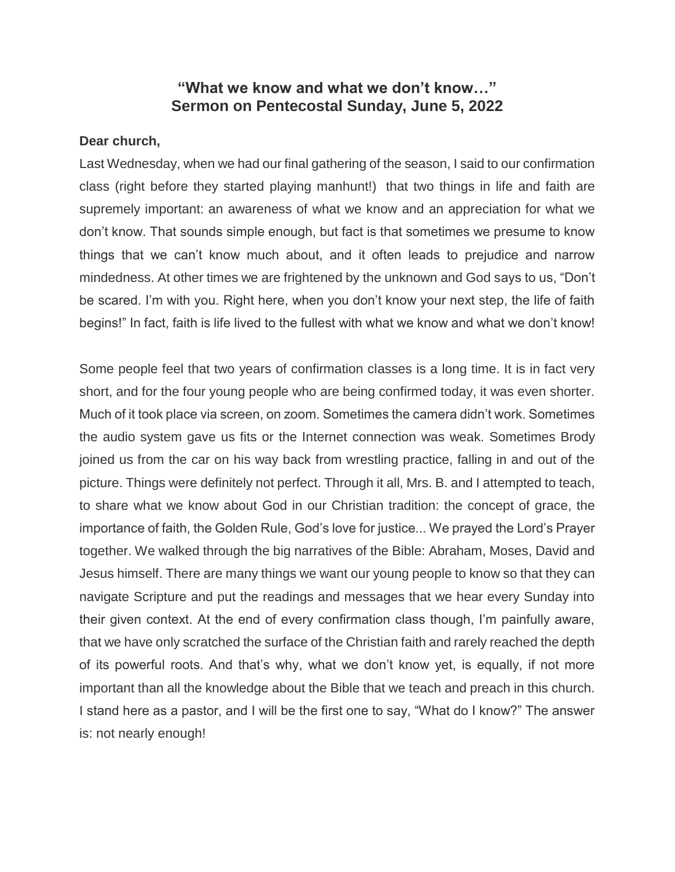## **"What we know and what we don't know…" Sermon on Pentecostal Sunday, June 5, 2022**

## **Dear church,**

Last Wednesday, when we had our final gathering of the season, I said to our confirmation class (right before they started playing manhunt!) that two things in life and faith are supremely important: an awareness of what we know and an appreciation for what we don't know. That sounds simple enough, but fact is that sometimes we presume to know things that we can't know much about, and it often leads to prejudice and narrow mindedness. At other times we are frightened by the unknown and God says to us, "Don't be scared. I'm with you. Right here, when you don't know your next step, the life of faith begins!" In fact, faith is life lived to the fullest with what we know and what we don't know!

Some people feel that two years of confirmation classes is a long time. It is in fact very short, and for the four young people who are being confirmed today, it was even shorter. Much of it took place via screen, on zoom. Sometimes the camera didn't work. Sometimes the audio system gave us fits or the Internet connection was weak. Sometimes Brody joined us from the car on his way back from wrestling practice, falling in and out of the picture. Things were definitely not perfect. Through it all, Mrs. B. and I attempted to teach, to share what we know about God in our Christian tradition: the concept of grace, the importance of faith, the Golden Rule, God's love for justice... We prayed the Lord's Prayer together. We walked through the big narratives of the Bible: Abraham, Moses, David and Jesus himself. There are many things we want our young people to know so that they can navigate Scripture and put the readings and messages that we hear every Sunday into their given context. At the end of every confirmation class though, I'm painfully aware, that we have only scratched the surface of the Christian faith and rarely reached the depth of its powerful roots. And that's why, what we don't know yet, is equally, if not more important than all the knowledge about the Bible that we teach and preach in this church. I stand here as a pastor, and I will be the first one to say, "What do I know?" The answer is: not nearly enough!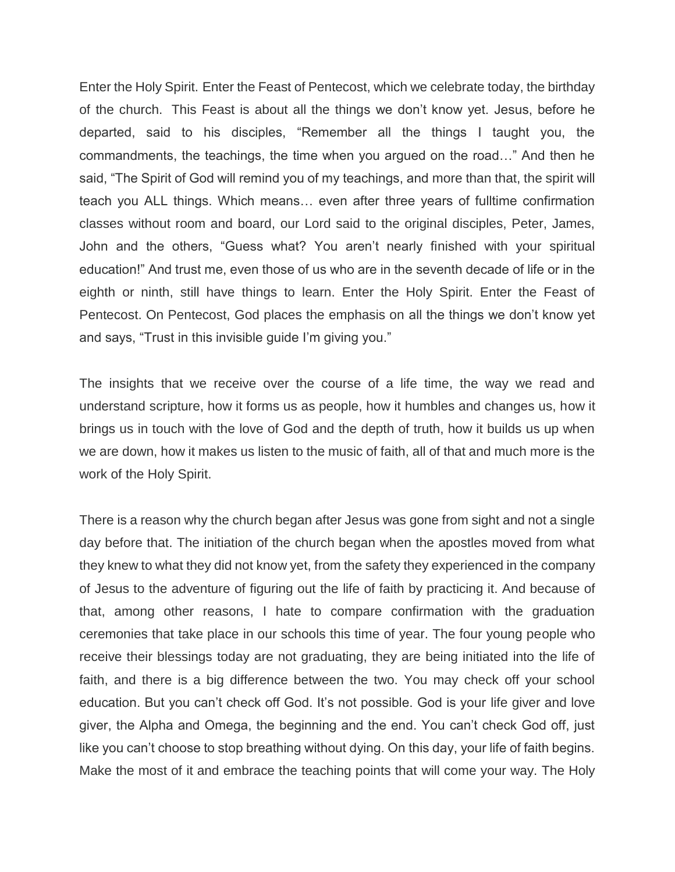Enter the Holy Spirit. Enter the Feast of Pentecost, which we celebrate today, the birthday of the church. This Feast is about all the things we don't know yet. Jesus, before he departed, said to his disciples, "Remember all the things I taught you, the commandments, the teachings, the time when you argued on the road…" And then he said, "The Spirit of God will remind you of my teachings, and more than that, the spirit will teach you ALL things. Which means… even after three years of fulltime confirmation classes without room and board, our Lord said to the original disciples, Peter, James, John and the others, "Guess what? You aren't nearly finished with your spiritual education!" And trust me, even those of us who are in the seventh decade of life or in the eighth or ninth, still have things to learn. Enter the Holy Spirit. Enter the Feast of Pentecost. On Pentecost, God places the emphasis on all the things we don't know yet and says, "Trust in this invisible guide I'm giving you."

The insights that we receive over the course of a life time, the way we read and understand scripture, how it forms us as people, how it humbles and changes us, how it brings us in touch with the love of God and the depth of truth, how it builds us up when we are down, how it makes us listen to the music of faith, all of that and much more is the work of the Holy Spirit.

There is a reason why the church began after Jesus was gone from sight and not a single day before that. The initiation of the church began when the apostles moved from what they knew to what they did not know yet, from the safety they experienced in the company of Jesus to the adventure of figuring out the life of faith by practicing it. And because of that, among other reasons, I hate to compare confirmation with the graduation ceremonies that take place in our schools this time of year. The four young people who receive their blessings today are not graduating, they are being initiated into the life of faith, and there is a big difference between the two. You may check off your school education. But you can't check off God. It's not possible. God is your life giver and love giver, the Alpha and Omega, the beginning and the end. You can't check God off, just like you can't choose to stop breathing without dying. On this day, your life of faith begins. Make the most of it and embrace the teaching points that will come your way. The Holy